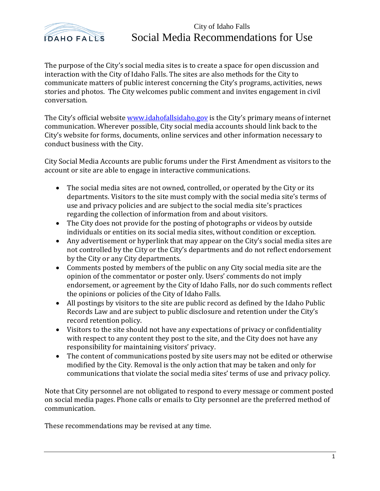

## City of Idaho Falls Social Media Recommendations for Use

The purpose of the City's social media sites is to create a space for open discussion and interaction with the City of Idaho Falls. The sites are also methods for the City to communicate matters of public interest concerning the City's programs, activities, news stories and photos. The City welcomes public comment and invites engagement in civil conversation.

The City's official website [www.idahofallsidaho.gov](http://www.idahofallsidaho.gov/) is the City's primary means of internet communication. Wherever possible, City social media accounts should link back to the City's website for forms, documents, online services and other information necessary to conduct business with the City.

City Social Media Accounts are public forums under the First Amendment as visitors to the account or site are able to engage in interactive communications.

- The social media sites are not owned, controlled, or operated by the City or its departments. Visitors to the site must comply with the social media site's terms of use and privacy policies and are subject to the social media site's practices regarding the collection of information from and about visitors.
- The City does not provide for the posting of photographs or videos by outside individuals or entities on its social media sites, without condition or exception.
- Any advertisement or hyperlink that may appear on the City's social media sites are not controlled by the City or the City's departments and do not reflect endorsement by the City or any City departments.
- Comments posted by members of the public on any City social media site are the opinion of the commentator or poster only. Users' comments do not imply endorsement, or agreement by the City of Idaho Falls, nor do such comments reflect the opinions or policies of the City of Idaho Falls.
- All postings by visitors to the site are public record as defined by the Idaho Public Records Law and are subject to public disclosure and retention under the City's record retention policy.
- Visitors to the site should not have any expectations of privacy or confidentiality with respect to any content they post to the site, and the City does not have any responsibility for maintaining visitors' privacy.
- The content of communications posted by site users may not be edited or otherwise modified by the City. Removal is the only action that may be taken and only for communications that violate the social media sites' terms of use and privacy policy.

Note that City personnel are not obligated to respond to every message or comment posted on social media pages. Phone calls or emails to City personnel are the preferred method of communication.

These recommendations may be revised at any time.